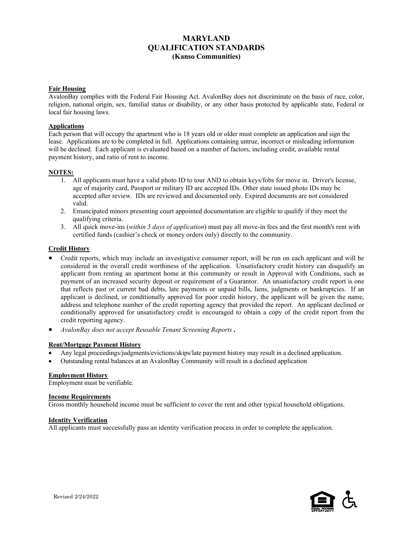# **MARYLAND QUALIFICATION STANDARDS (Kanso Communities)**

### **Fair Housing**

AvalonBay complies with the Federal Fair Housing Act. AvalonBay does not discriminate on the basis of race, color, religion, national origin, sex, familial status or disability, or any other basis protected by applicable state, Federal or local fair housing laws.

# **Applications**

Each person that will occupy the apartment who is 18 years old or older must complete an application and sign the lease. Applications are to be completed in full. Applications containing untrue, incorrect or misleading information will be declined. Each applicant is evaluated based on a number of factors, including credit, available rental payment history, and ratio of rent to income.

### **NOTES:**

- 1. All applicants must have a valid photo ID to tour AND to obtain keys/fobs for move in. Driver's license, age of majority card, Passport or military ID are accepted IDs. Other state issued photo IDs may be accepted after review. IDs are reviewed and documented only. Expired documents are not considered valid.
- 2. Emancipated minors presenting court appointed documentation are eligible to qualify if they meet the qualifying criteria.
- 3. All quick move-ins (*within 5 days of application*) must pay all move-in fees and the first month's rent with certified funds (cashier's check or money orders only) directly to the community.

### **Credit History**

- Credit reports, which may include an investigative consumer report, will be run on each applicant and will be considered in the overall credit worthiness of the application. Unsatisfactory credit history can disqualify an applicant from renting an apartment home at this community or result in Approval with Conditions, such as payment of an increased security deposit or requirement of a Guarantor. An unsatisfactory credit report is one that reflects past or current bad debts, late payments or unpaid bills, liens, judgments or bankruptcies. If an applicant is declined, or conditionally approved for poor credit history, the applicant will be given the name, address and telephone number of the credit reporting agency that provided the report. An applicant declined or conditionally approved for unsatisfactory credit is encouraged to obtain a copy of the credit report from the credit reporting agency.
- *AvalonBay does not accept Reusable Tenant Screening Reports.*

# **Rent/Mortgage Payment History**

- Any legal proceedings/judgments/evictions/skips/late payment history may result in a declined application.
- Outstanding rental balances at an AvalonBay Community will result in a declined application

# **Employment History**

Employment must be verifiable.

#### **Income Requirements**

Gross monthly household income must be sufficient to cover the rent and other typical household obligations.

#### **Identity Verification**

All applicants must successfully pass an identity verification process in order to complete the application.